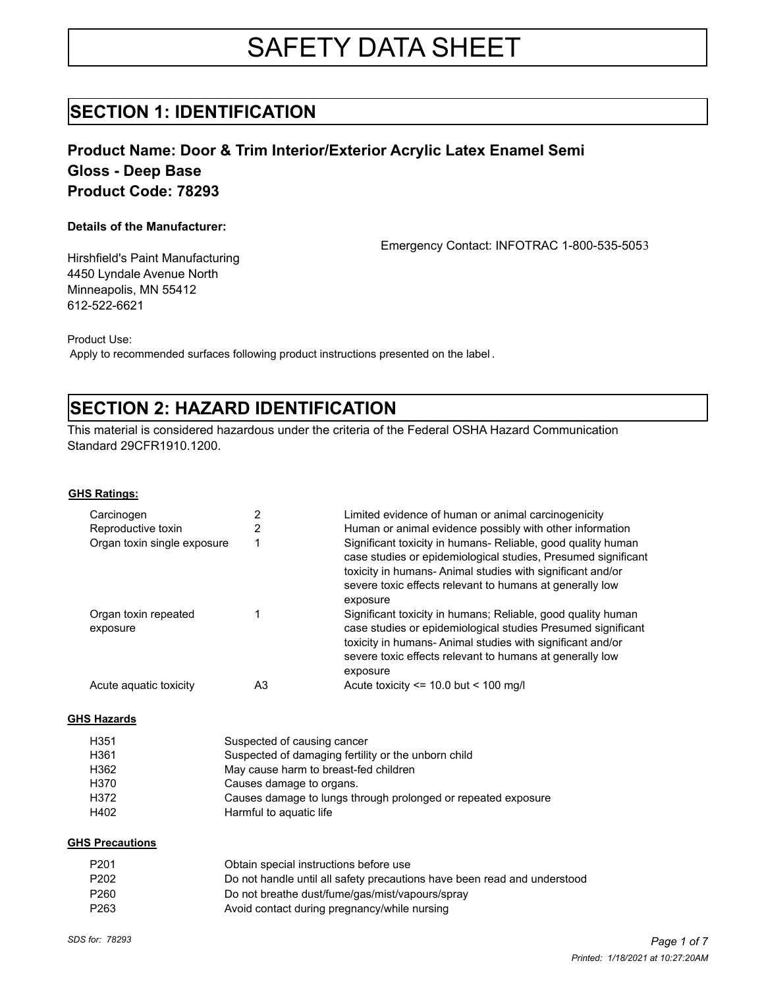# SAFETY DATA SHEET

## **SECTION 1: IDENTIFICATION**

### **Product Name: Door & Trim Interior/Exterior Acrylic Latex Enamel Semi Gloss - Deep Base Product Code: 78293**

### **Details of the Manufacturer:**

Emergency Contact: INFOTRAC 1-800-535-5053

Hirshfield's Paint Manufacturing 4450 Lyndale Avenue North Minneapolis, MN 55412 612-522-6621

Product Use:

Apply to recommended surfaces following product instructions presented on the label .

## **SECTION 2: HAZARD IDENTIFICATION**

This material is considered hazardous under the criteria of the Federal OSHA Hazard Communication Standard 29CFR1910.1200.

**GHS Ratings:**

| Carcinogen                       |    | Limited evidence of human or animal carcinogenicity                                                                                                                                                                                                                |
|----------------------------------|----|--------------------------------------------------------------------------------------------------------------------------------------------------------------------------------------------------------------------------------------------------------------------|
| Reproductive toxin               |    | Human or animal evidence possibly with other information                                                                                                                                                                                                           |
| Organ toxin single exposure      |    | Significant toxicity in humans- Reliable, good quality human<br>case studies or epidemiological studies, Presumed significant<br>toxicity in humans-Animal studies with significant and/or<br>severe toxic effects relevant to humans at generally low<br>exposure |
| Organ toxin repeated<br>exposure |    | Significant toxicity in humans; Reliable, good quality human<br>case studies or epidemiological studies Presumed significant<br>toxicity in humans-Animal studies with significant and/or<br>severe toxic effects relevant to humans at generally low<br>exposure  |
| Acute aquatic toxicity           | A3 | Acute toxicity $\le$ 10.0 but $\le$ 100 mg/l                                                                                                                                                                                                                       |

#### **GHS Hazards**

| H <sub>351</sub> | Suspected of causing cancer                                   |
|------------------|---------------------------------------------------------------|
| H361             | Suspected of damaging fertility or the unborn child           |
| H362             | May cause harm to breast-fed children                         |
| H370             | Causes damage to organs.                                      |
| H372             | Causes damage to lungs through prolonged or repeated exposure |
| H402             | Harmful to aguatic life                                       |

#### **GHS Precautions**

| P201 | Obtain special instructions before use                                   |
|------|--------------------------------------------------------------------------|
| P202 | Do not handle until all safety precautions have been read and understood |
| P260 | Do not breathe dust/fume/gas/mist/vapours/spray                          |
| P263 | Avoid contact during pregnancy/while nursing                             |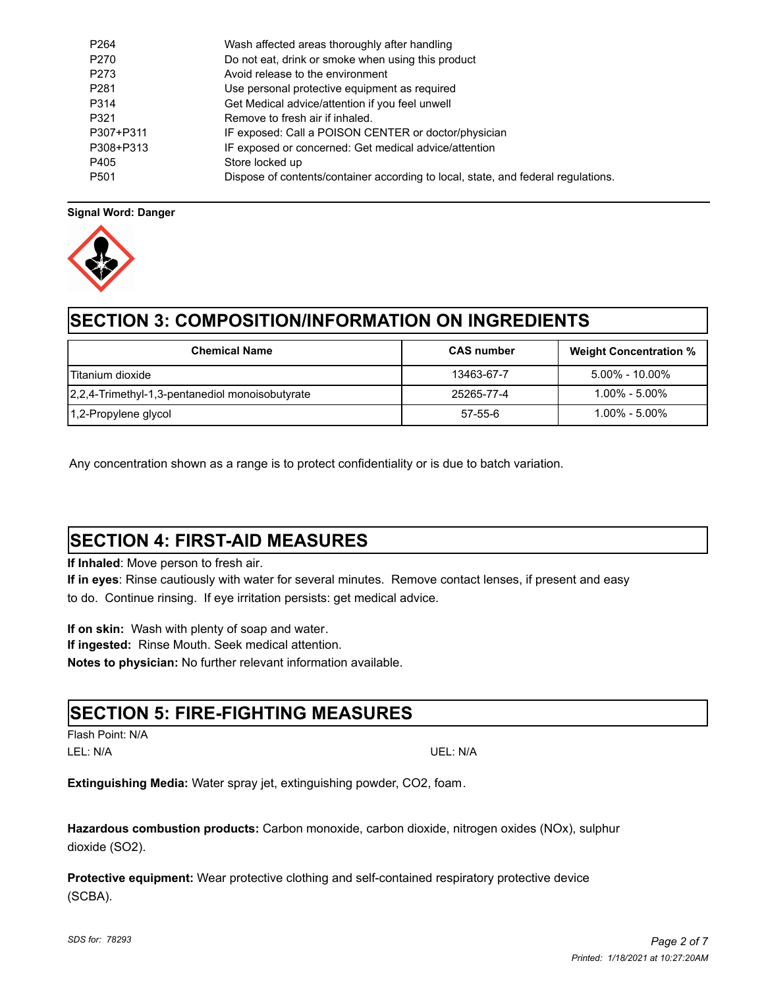| P <sub>264</sub> | Wash affected areas thoroughly after handling                                     |
|------------------|-----------------------------------------------------------------------------------|
| P <sub>270</sub> | Do not eat, drink or smoke when using this product                                |
| P273             | Avoid release to the environment                                                  |
| P <sub>281</sub> | Use personal protective equipment as required                                     |
| P314             | Get Medical advice/attention if you feel unwell                                   |
| P321             | Remove to fresh air if inhaled.                                                   |
| P307+P311        | IF exposed: Call a POISON CENTER or doctor/physician                              |
| P308+P313        | IF exposed or concerned: Get medical advice/attention                             |
| P405             | Store locked up                                                                   |
| P <sub>501</sub> | Dispose of contents/container according to local, state, and federal regulations. |

### **Signal Word: Danger**



## **SECTION 3: COMPOSITION/INFORMATION ON INGREDIENTS**

| <b>Chemical Name</b>                            | <b>CAS</b> number | <b>Weight Concentration %</b> |
|-------------------------------------------------|-------------------|-------------------------------|
| lTitanium dioxide                               | 13463-67-7        | $5.00\% - 10.00\%$            |
| 2,2,4-Trimethyl-1,3-pentanediol monoisobutyrate | 25265-77-4        | $1.00\%$ - $5.00\%$           |
| 1,2-Propylene glycol                            | 57-55-6           | $1.00\%$ - $5.00\%$           |

Any concentration shown as a range is to protect confidentiality or is due to batch variation.

## **SECTION 4: FIRST-AID MEASURES**

**If Inhaled**: Move person to fresh air.

**If in eyes**: Rinse cautiously with water for several minutes. Remove contact lenses, if present and easy to do. Continue rinsing. If eye irritation persists: get medical advice.

**If on skin:** Wash with plenty of soap and water. **If ingested:** Rinse Mouth. Seek medical attention. **Notes to physician:** No further relevant information available.

### **SECTION 5: FIRE-FIGHTING MEASURES**

Flash Point: N/A LEL: N/A UEL: N/A

**Extinguishing Media:** Water spray jet, extinguishing powder, CO2, foam.

**Hazardous combustion products:** Carbon monoxide, carbon dioxide, nitrogen oxides (NOx), sulphur dioxide (SO2).

**Protective equipment:** Wear protective clothing and self-contained respiratory protective device (SCBA).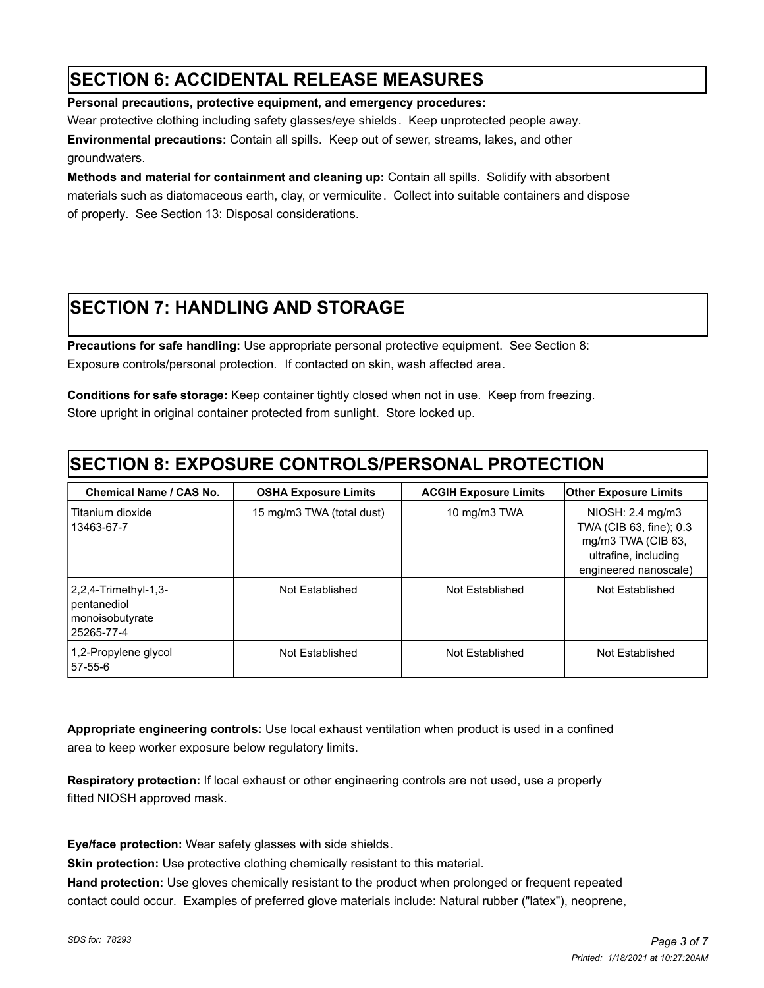## **SECTION 6: ACCIDENTAL RELEASE MEASURES**

**Personal precautions, protective equipment, and emergency procedures:** 

Wear protective clothing including safety glasses/eye shields. Keep unprotected people away.

**Environmental precautions:** Contain all spills.Keep out of sewer, streams, lakes, and other groundwaters.

**Methods and material for containment and cleaning up:** Contain all spills. Solidify with absorbent materials such as diatomaceous earth, clay, or vermiculite. Collect into suitable containers and dispose of properly. See Section 13: Disposal considerations.

## **SECTION 7: HANDLING AND STORAGE**

**Precautions for safe handling:** Use appropriate personal protective equipment. See Section 8: Exposure controls/personal protection. If contacted on skin, wash affected area.

**Conditions for safe storage:** Keep container tightly closed when not in use. Keep from freezing. Store upright in original container protected from sunlight. Store locked up.

## **SECTION 8: EXPOSURE CONTROLS/PERSONAL PROTECTION**

| <b>Chemical Name / CAS No.</b>                                           | <b>OSHA Exposure Limits</b> | <b>ACGIH Exposure Limits</b> | <b>Other Exposure Limits</b>                                                                                       |
|--------------------------------------------------------------------------|-----------------------------|------------------------------|--------------------------------------------------------------------------------------------------------------------|
| Titanium dioxide<br>13463-67-7                                           | 15 mg/m3 TWA (total dust)   | 10 mg/m3 TWA                 | NIOSH: 2.4 mg/m3<br>TWA (CIB 63, fine); 0.3<br>mg/m3 TWA (CIB 63,<br>ultrafine, including<br>engineered nanoscale) |
| $ 2,2,4$ -Trimethyl-1,3-<br>pentanediol<br>monoisobutyrate<br>25265-77-4 | Not Established             | Not Established              | Not Established                                                                                                    |
| 1,2-Propylene glycol<br>157-55-6                                         | Not Established             | Not Established              | Not Established                                                                                                    |

**Appropriate engineering controls:** Use local exhaust ventilation when product is used in a confined area to keep worker exposure below regulatory limits.

**Respiratory protection:** If local exhaust or other engineering controls are not used, use a properly fitted NIOSH approved mask.

**Eye/face protection:** Wear safety glasses with side shields.

**Skin protection:** Use protective clothing chemically resistant to this material.

**Hand protection:** Use gloves chemically resistant to the product when prolonged or frequent repeated contact could occur. Examples of preferred glove materials include: Natural rubber ("latex"), neoprene,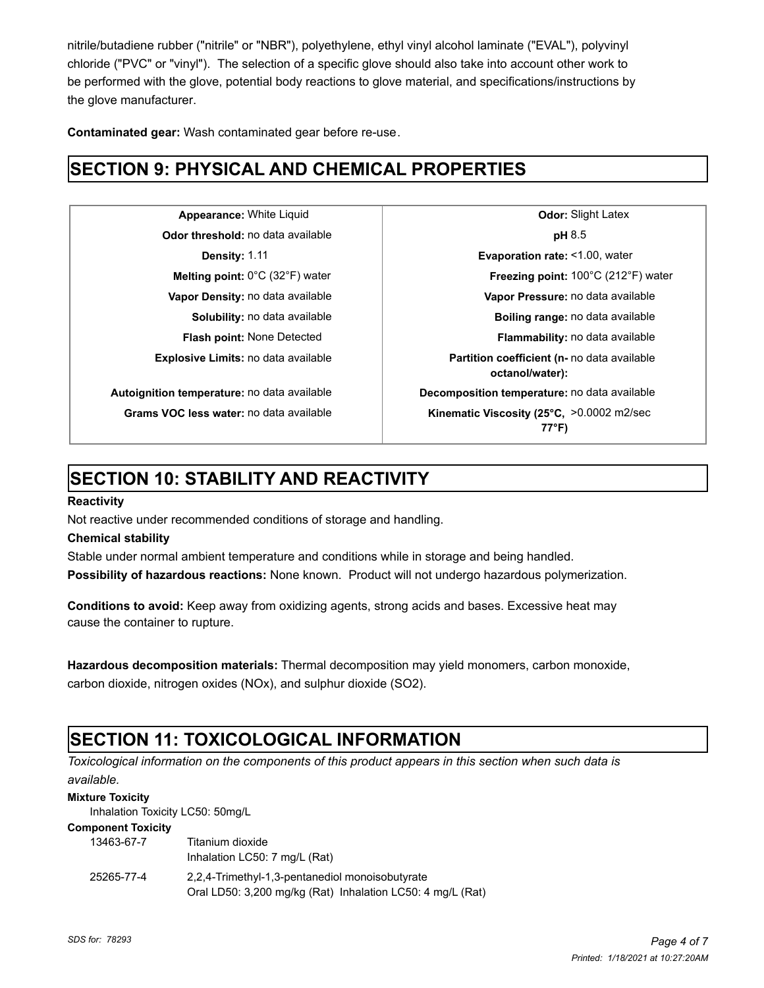nitrile/butadiene rubber ("nitrile" or "NBR"), polyethylene, ethyl vinyl alcohol laminate ("EVAL"), polyvinyl chloride ("PVC" or "vinyl"). The selection of a specific glove should also take into account other work to be performed with the glove, potential body reactions to glove material, and specifications/instructions by the glove manufacturer.

**Contaminated gear:** Wash contaminated gear before re-use.

## **SECTION 9: PHYSICAL AND CHEMICAL PROPERTIES**

**Odor threshold:** no data available **pH** 8.5

**Appearance:** White Liquid **Constanting Latex Odor:** Slight Latex **Density:** 1.11 **Evaporation rate:** <1.00, water **Melting point:** 0°C (32°F) water **Freezing point:** 100°C (212°F) water **Vapor Density:** no data available **Vapor Pressure:** no data available **Solubility:** no data available **Boiling range:** no data available **Flash point:** None Detected **Flammability:** no data available **Explosive Limits:** no data available **Partition coefficient (n-** no data available **octanol/water): Autoignition temperature:** no data available **Decomposition temperature:** no data available Grams VOC less water: no data available **Kinematic Viscosity (25°C, >0.0002** m2/sec **77°F)**

## **SECTION 10: STABILITY AND REACTIVITY**

### **Reactivity**

Not reactive under recommended conditions of storage and handling.

### **Chemical stability**

Stable under normal ambient temperature and conditions while in storage and being handled.

**Possibility of hazardous reactions:** None known. Product will not undergo hazardous polymerization.

**Conditions to avoid:** Keep away from oxidizing agents, strong acids and bases. Excessive heat may cause the container to rupture.

**Hazardous decomposition materials:** Thermal decomposition may yield monomers, carbon monoxide, carbon dioxide, nitrogen oxides (NOx), and sulphur dioxide (SO2).

## **SECTION 11: TOXICOLOGICAL INFORMATION**

*Toxicological information on the components of this product appears in this section when such data is available.*

### **Mixture Toxicity**

Inhalation Toxicity LC50: 50mg/L

#### **Component Toxicity**

| 13463-67-7 | Titanium dioxide<br>Inhalation LC50: 7 mg/L (Rat)                                                             |
|------------|---------------------------------------------------------------------------------------------------------------|
| 25265-77-4 | 2,2,4-Trimethyl-1,3-pentanediol monoisobutyrate<br>Oral LD50: 3,200 mg/kg (Rat) Inhalation LC50: 4 mg/L (Rat) |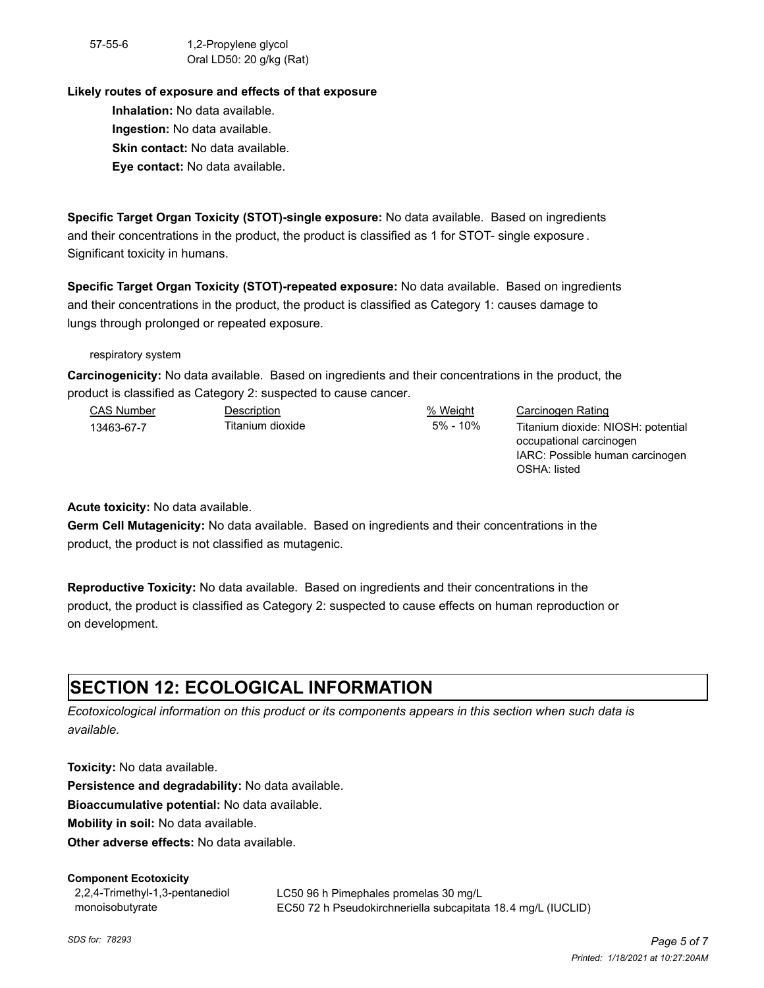57-55-6 1,2-Propylene glycol Oral LD50: 20 g/kg (Rat)

### **Likely routes of exposure and effects of that exposure**

**Inhalation:** No data available. **Ingestion:** No data available. **Skin contact:** No data available. **Eye contact:** No data available.

**Specific Target Organ Toxicity (STOT)-single exposure:** No data available. Based on ingredients and their concentrations in the product, the product is classified as 1 for STOT- single exposure . Significant toxicity in humans.

**Specific Target Organ Toxicity (STOT)-repeated exposure:** No data available. Based on ingredients and their concentrations in the product, the product is classified as Category 1: causes damage to lungs through prolonged or repeated exposure.

respiratory system

**Carcinogenicity:** No data available. Based on ingredients and their concentrations in the product, the product is classified as Category 2: suspected to cause cancer.

| <b>CAS Number</b> | Description      | % Weight    | Carcinogen Rating                  |
|-------------------|------------------|-------------|------------------------------------|
| 13463-67-7        | Titanium dioxide | $5\%$ - 10% | Titanium dioxide: NIOSH: potential |
|                   |                  |             | occupational carcinogen            |
|                   |                  |             | IARC: Possible human carcinogen    |

OSHA: listed

**Acute toxicity:** No data available.

**Germ Cell Mutagenicity:** No data available. Based on ingredients and their concentrations in the product, the product is not classified as mutagenic.

**Reproductive Toxicity:** No data available. Based on ingredients and their concentrations in the product, the product is classified as Category 2: suspected to cause effects on human reproduction or on development.

## **SECTION 12: ECOLOGICAL INFORMATION**

*Ecotoxicological information on this product or its components appears in this section when such data is available.*

**Toxicity:** No data available.

**Persistence and degradability:** No data available.

**Bioaccumulative potential:** No data available.

**Mobility in soil:** No data available.

**Other adverse effects:** No data available.

### **Component Ecotoxicity**

2,2,4-Trimethyl-1,3-pentanediol monoisobutyrate

LC50 96 h Pimephales promelas 30 mg/L EC50 72 h Pseudokirchneriella subcapitata 18.4 mg/L (IUCLID)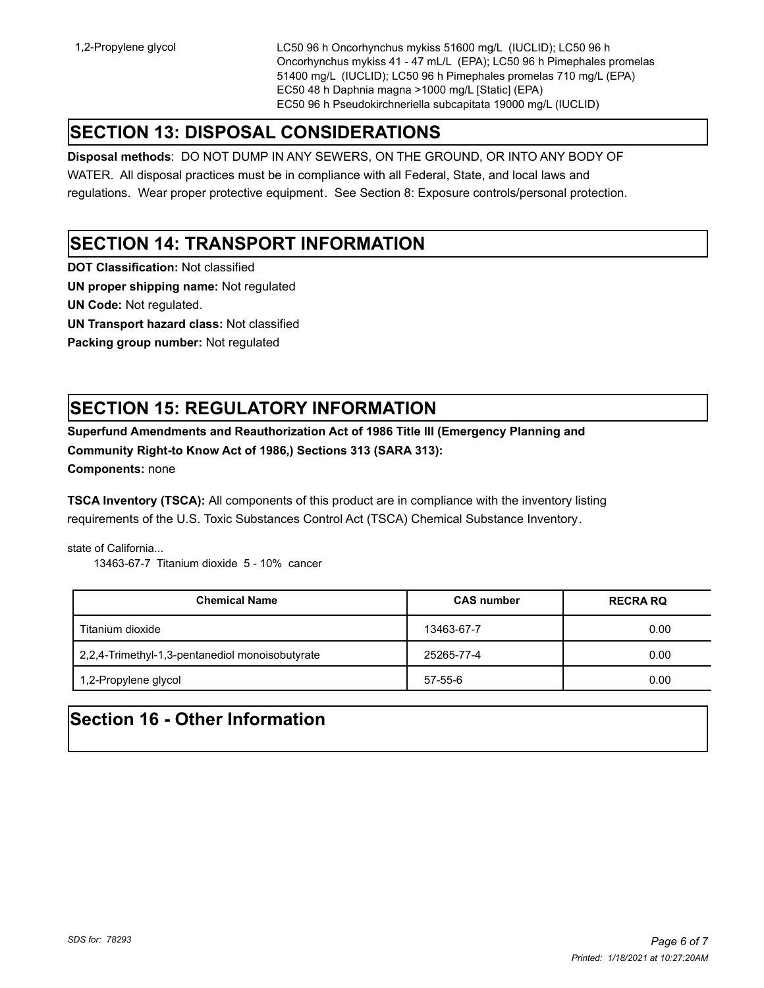1,2-Propylene glycol LC50 96 h Oncorhynchus mykiss 51600 mg/L (IUCLID); LC50 96 h Oncorhynchus mykiss 41 - 47 mL/L (EPA); LC50 96 h Pimephales promelas 51400 mg/L (IUCLID); LC50 96 h Pimephales promelas 710 mg/L (EPA) EC50 48 h Daphnia magna >1000 mg/L [Static] (EPA) EC50 96 h Pseudokirchneriella subcapitata 19000 mg/L (IUCLID)

## **SECTION 13: DISPOSAL CONSIDERATIONS**

**Disposal methods**: DO NOT DUMP IN ANY SEWERS, ON THE GROUND, OR INTO ANY BODY OF

WATER. All disposal practices must be in compliance with all Federal, State, and local laws and regulations. Wear proper protective equipment. See Section 8: Exposure controls/personal protection.

## **SECTION 14: TRANSPORT INFORMATION**

**DOT Classification:** Not classified

**UN proper shipping name:** Not regulated

**UN Code:** Not regulated.

**UN Transport hazard class:** Not classified

**Packing group number:** Not regulated

## **SECTION 15: REGULATORY INFORMATION**

**Superfund Amendments and Reauthorization Act of 1986 Title III (Emergency Planning and Community Right-to Know Act of 1986,) Sections 313 (SARA 313):** 

**Components:** none

**TSCA Inventory (TSCA):** All components of this product are in compliance with the inventory listing requirements of the U.S. Toxic Substances Control Act (TSCA) Chemical Substance Inventory.

state of California...

13463-67-7 Titanium dioxide 5 - 10% cancer

| <b>Chemical Name</b>                            | <b>CAS number</b> | <b>RECRA RQ</b> |
|-------------------------------------------------|-------------------|-----------------|
| Titanium dioxide                                | 13463-67-7        | 0.00            |
| 2,2,4-Trimethyl-1,3-pentanediol monoisobutyrate | 25265-77-4        | 0.00            |
| 1,2-Propylene glycol                            | $57 - 55 - 6$     | 0.00            |

## **Section 16 - Other Information**